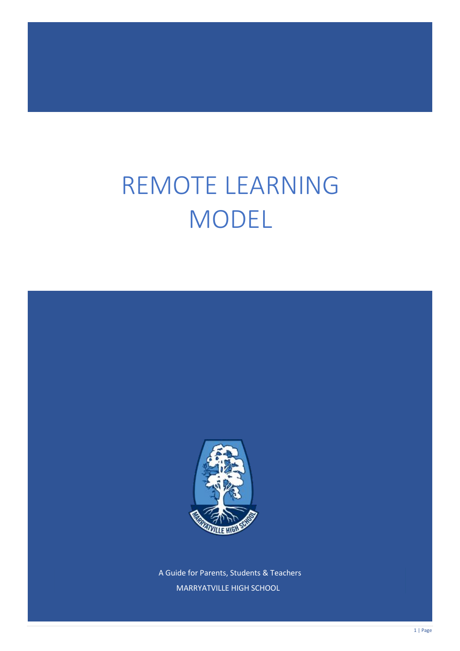# REMOTE LEARNING MODEL



A Guide for Parents, Students & Teachers MARRYATVILLE HIGH SCHOOL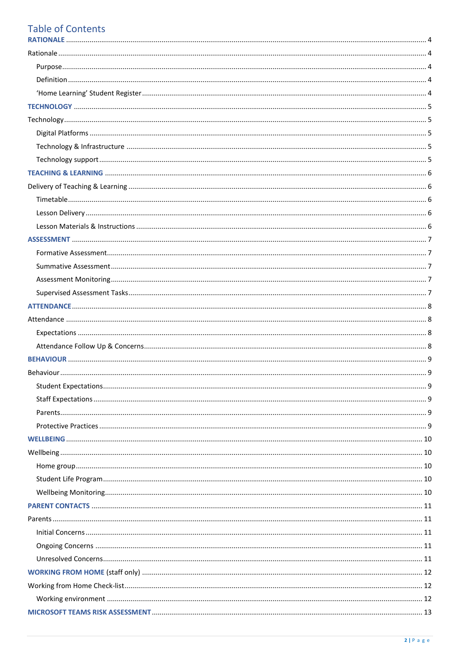#### **Table of Contents DATIONALE**

 $\overline{a}$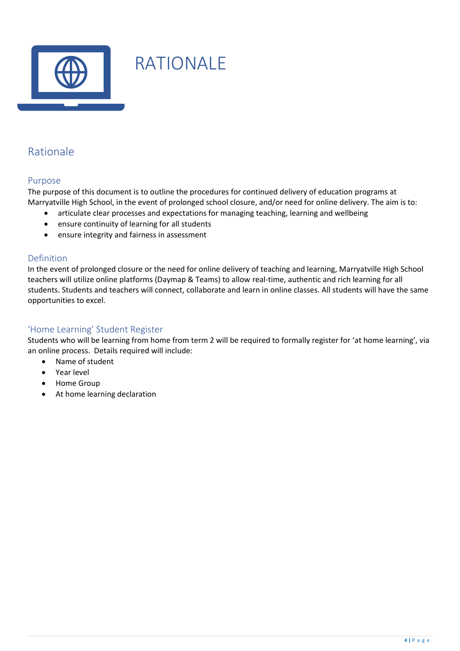

# <span id="page-3-0"></span>RATIONALE

## <span id="page-3-1"></span>Rationale

#### <span id="page-3-2"></span>Purpose

The purpose of this document is to outline the procedures for continued delivery of education programs at Marryatville High School, in the event of prolonged school closure, and/or need for online delivery. The aim is to:

- articulate clear processes and expectations for managing teaching, learning and wellbeing
- ensure continuity of learning for all students
- ensure integrity and fairness in assessment

#### <span id="page-3-3"></span>Definition

In the event of prolonged closure or the need for online delivery of teaching and learning, Marryatville High School teachers will utilize online platforms (Daymap & Teams) to allow real-time, authentic and rich learning for all students. Students and teachers will connect, collaborate and learn in online classes. All students will have the same opportunities to excel.

#### <span id="page-3-4"></span>'Home Learning' Student Register

Students who will be learning from home from term 2 will be required to formally register for 'at home learning', via an online process. Details required will include:

- Name of student
- Year level
- Home Group
- At home learning declaration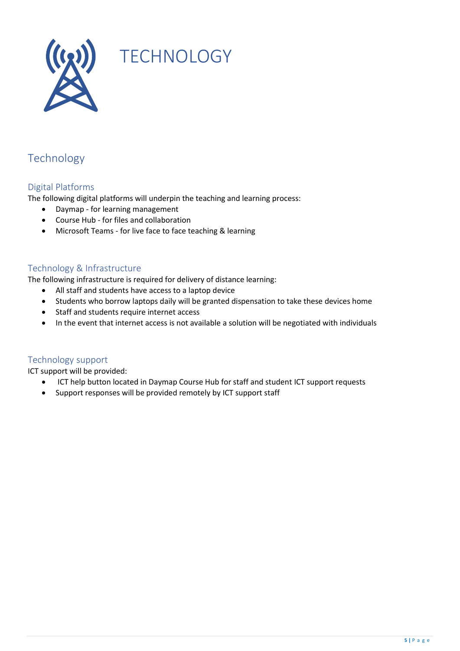

# <span id="page-4-0"></span>**TECHNOLOGY**

## <span id="page-4-1"></span>Technology

#### <span id="page-4-2"></span>Digital Platforms

The following digital platforms will underpin the teaching and learning process:

- Daymap for learning management
- Course Hub for files and collaboration
- Microsoft Teams for live face to face teaching & learning

#### <span id="page-4-3"></span>Technology & Infrastructure

The following infrastructure is required for delivery of distance learning:

- All staff and students have access to a laptop device
- Students who borrow laptops daily will be granted dispensation to take these devices home
- Staff and students require internet access
- In the event that internet access is not available a solution will be negotiated with individuals

#### <span id="page-4-4"></span>Technology support

ICT support will be provided:

- ICT help button located in Daymap Course Hub for staff and student ICT support requests
- Support responses will be provided remotely by ICT support staff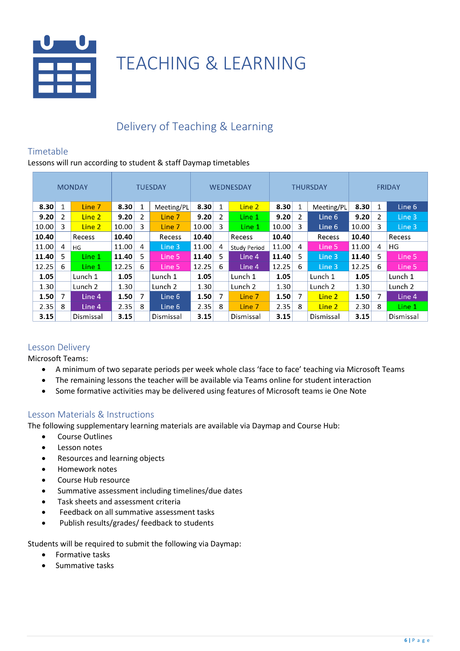

## <span id="page-5-0"></span>TEACHING & LEARNING

## <span id="page-5-1"></span>Delivery of Teaching & Learning

#### <span id="page-5-2"></span>Timetable

Lessons will run according to student & staff Daymap timetables

|       | <b>MONDAY</b><br><b>TUESDAY</b> |                    |       | <b>WEDNESDAY</b> |                    |       | <b>THURSDAY</b> |                     |       | <b>FRIDAY</b> |            |       |                |           |
|-------|---------------------------------|--------------------|-------|------------------|--------------------|-------|-----------------|---------------------|-------|---------------|------------|-------|----------------|-----------|
| 8.30  | 1                               | Line 7             | 8.30  | 1                | Meeting/PL         | 8.30  | 1               | Line 2              | 8.30  | $\mathbf{1}$  | Meeting/PL | 8.30  | 1              | Line 6    |
| 9.20  | 2                               | Line 2             | 9.20  | 2                | Line 7             | 9.20  | 2               | Line 1              | 9.20  | 2             | Line 6     | 9.20  | $\overline{2}$ | Line 3    |
| 10.00 | 3                               | Line 2             | 10.00 | 3                | Line 7             | 10.00 | 3               | Line 1              | 10.00 | 3             | Line 6     | 10.00 | 3              | Line 3    |
| 10.40 |                                 | Recess             | 10.40 |                  | Recess             | 10.40 |                 | Recess              | 10.40 |               | Recess     | 10.40 |                | Recess    |
| 11.00 | 4                               | HG                 | 11.00 | 4                | Line 3             | 11.00 | 4               | <b>Study Period</b> | 11.00 | 4             | Line 5     | 11.00 | 4              | HG        |
| 11.40 | 5.                              | Line 1             | 11.40 | 5                | Line 5             | 11.40 | 5               | Line 4              | 11.40 | 5             | Line 3     | 11.40 | 5              | Line 5    |
| 12.25 | 6                               | Line 1             | 12.25 | 6                | Line 5             | 12.25 | 6               | Line 4              | 12.25 | 6             | Line 3     | 12.25 | 6              | Line 5    |
| 1.05  |                                 | Lunch 1            | 1.05  |                  | Lunch 1            | 1.05  |                 | Lunch 1             | 1.05  |               | Lunch 1    | 1.05  |                | Lunch 1   |
| 1.30  |                                 | Lunch <sub>2</sub> | 1.30  |                  | Lunch <sub>2</sub> | 1.30  |                 | Lunch <sub>2</sub>  | 1.30  |               | Lunch 2    | 1.30  |                | Lunch 2   |
| 1.50  | 7                               | Line 4             | 1.50  | 7                | Line 6             | 1.50  | 7               | Line 7              | 1.50  | 7             | Line 2     | 1.50  | 7              | Line 4    |
| 2.35  | 8                               | Line 4             | 2.35  | 8                | Line 6             | 2.35  | 8               | Line 7              | 2.35  | 8             | Line 2     | 2.30  | 8              | Line 1    |
| 3.15  |                                 | Dismissal          | 3.15  |                  | Dismissal          | 3.15  |                 | Dismissal           | 3.15  |               | Dismissal  | 3.15  |                | Dismissal |

#### <span id="page-5-3"></span>Lesson Delivery

Microsoft Teams:

- A minimum of two separate periods per week whole class 'face to face' teaching via Microsoft Teams
- The remaining lessons the teacher will be available via Teams online for student interaction
- Some formative activities may be delivered using features of Microsoft teams ie One Note

#### <span id="page-5-4"></span>Lesson Materials & Instructions

The following supplementary learning materials are available via Daymap and Course Hub:

- Course Outlines
- Lesson notes
- Resources and learning objects
- Homework notes
- Course Hub resource
- Summative assessment including timelines/due dates
- Task sheets and assessment criteria
- Feedback on all summative assessment tasks
- Publish results/grades/ feedback to students

Students will be required to submit the following via Daymap:

- Formative tasks
- Summative tasks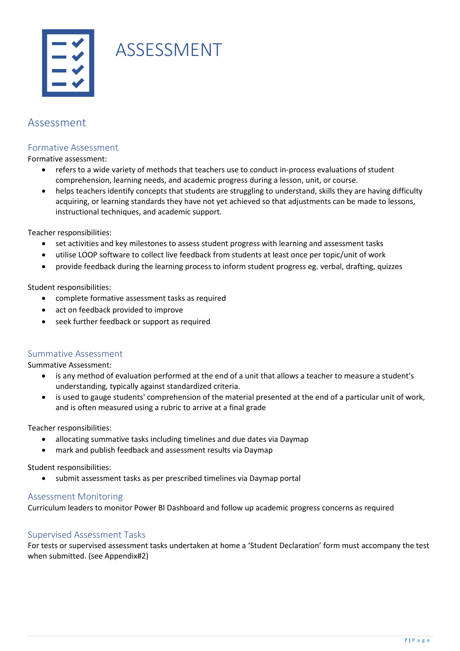# ASSESSMENT

### <span id="page-6-0"></span>Assessment

#### <span id="page-6-1"></span>Formative Assessment

Formative assessment:

- refers to a wide variety of methods that teachers use to conduct in-process evaluations of student comprehension, learning needs, and academic progress during a lesson, unit, or course.
- helps teachers identify concepts that students are struggling to understand, skills they are having difficulty acquiring, or [learning standards](https://www.edglossary.org/learning-standards/) they have not yet achieved so that adjustments can be made to lessons, instructional techniques, and [academic support.](https://www.edglossary.org/academic-support/)

Teacher responsibilities:

- set activities and key milestones to assess student progress with learning and assessment tasks
- utilise LOOP software to collect live feedback from students at least once per topic/unit of work
- provide feedback during the learning process to inform student progress eg. verbal, drafting, quizzes

Student responsibilities:

- complete formative assessment tasks as required
- act on feedback provided to improve
- seek further feedback or support as required

#### <span id="page-6-2"></span>Summative Assessment

Summative Assessment:

- is any method of evaluation performed at the end of a unit that allows a teacher to measure a student's understanding, typically against standardized criteria.
- is used to gauge students' comprehension of the material presented at the end of a particular unit of work, and is often measured using a rubric to arrive at a final grade

Teacher responsibilities:

- allocating summative tasks including timelines and due dates via Daymap
- mark and publish feedback and assessment results via Daymap

Student responsibilities:

• submit assessment tasks as per prescribed timelines via Daymap portal

#### <span id="page-6-3"></span>Assessment Monitoring

Curriculum leaders to monitor Power BI Dashboard and follow up academic progress concerns as required

#### <span id="page-6-4"></span>Supervised Assessment Tasks

For tests or supervised assessment tasks undertaken at home a 'Student Declaration' form must accompany the test when submitted. (see Appendix#2)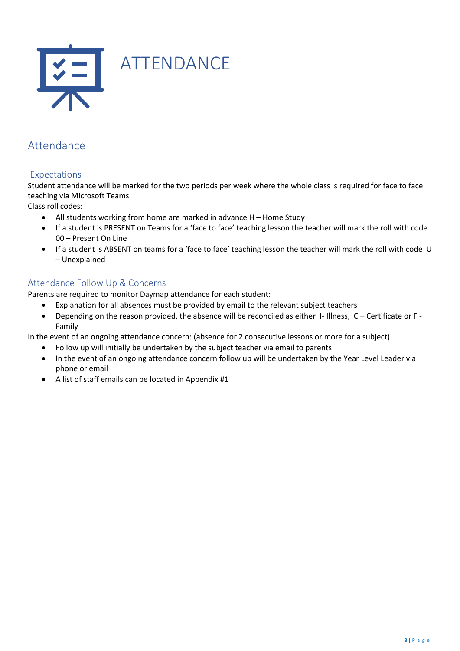<span id="page-7-0"></span>

## <span id="page-7-1"></span>Attendance

#### <span id="page-7-2"></span>Expectations

Student attendance will be marked for the two periods per week where the whole class is required for face to face teaching via Microsoft Teams

Class roll codes:

- All students working from home are marked in advance H Home Study
- If a student is PRESENT on Teams for a 'face to face' teaching lesson the teacher will mark the roll with code 00 – Present On Line
- If a student is ABSENT on teams for a 'face to face' teaching lesson the teacher will mark the roll with code U – Unexplained

#### <span id="page-7-3"></span>Attendance Follow Up & Concerns

Parents are required to monitor Daymap attendance for each student:

- Explanation for all absences must be provided by email to the relevant subject teachers
- Depending on the reason provided, the absence will be reconciled as either I- Illness, C Certificate or F Family

In the event of an ongoing attendance concern: (absence for 2 consecutive lessons or more for a subject):

- Follow up will initially be undertaken by the subject teacher via email to parents
- In the event of an ongoing attendance concern follow up will be undertaken by the Year Level Leader via phone or email
- A list of staff emails can be located in Appendix #1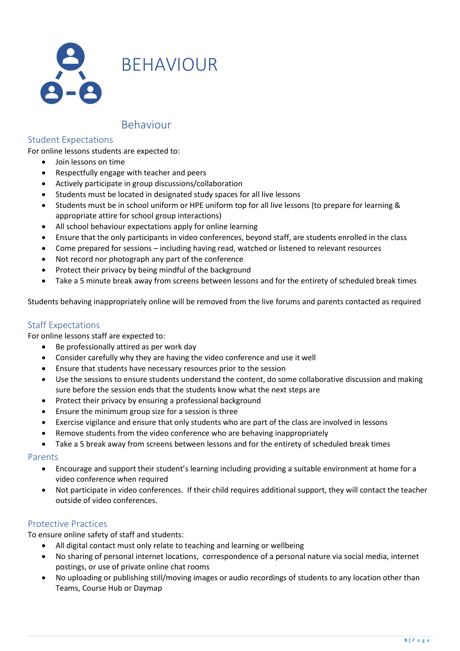

<span id="page-8-0"></span>BEHAVIOUR

### <span id="page-8-1"></span>Behaviour

#### <span id="page-8-2"></span>Student Expectations

For online lessons students are expected to:

- Join lessons on time
- Respectfully engage with teacher and peers
- Actively participate in group discussions/collaboration
- Students must be located in designated study spaces for all live lessons
- Students must be in school uniform or HPE uniform top for all live lessons (to prepare for learning & appropriate attire for school group interactions)
- All school behaviour expectations apply for online learning
- Ensure that the only participants in video conferences, beyond staff, are students enrolled in the class
- Come prepared for sessions including having read, watched or listened to relevant resources
- Not record nor photograph any part of the conference
- Protect their privacy by being mindful of the background
- Take a 5 minute break away from screens between lessons and for the entirety of scheduled break times

Students behaving inappropriately online will be removed from the live forums and parents contacted as required

#### <span id="page-8-3"></span>Staff Expectations

For online lessons staff are expected to:

- Be professionally attired as per work day
- Consider carefully why they are having the video conference and use it well
- Ensure that students have necessary resources prior to the session
- Use the sessions to ensure students understand the content, do some collaborative discussion and making sure before the session ends that the students know what the next steps are
- Protect their privacy by ensuring a professional background
- Ensure the minimum group size for a session is three
- Exercise vigilance and ensure that only students who are part of the class are involved in lessons
- Remove students from the video conference who are behaving inappropriately
- Take a 5 break away from screens between lessons and for the entirety of scheduled break times

#### <span id="page-8-4"></span>Parents

- Encourage and support their student's learning including providing a suitable environment at home for a video conference when required
- Not participate in video conferences. If their child requires additional support, they will contact the teacher outside of video conferences.

#### <span id="page-8-5"></span>Protective Practices

To ensure online safety of staff and students:

- All digital contact must only relate to teaching and learning or wellbeing
- No sharing of personal internet locations, correspondence of a personal nature via social media, internet postings, or use of private online chat rooms
- No uploading or publishing still/moving images or audio recordings of students to any location other than Teams, Course Hub or Daymap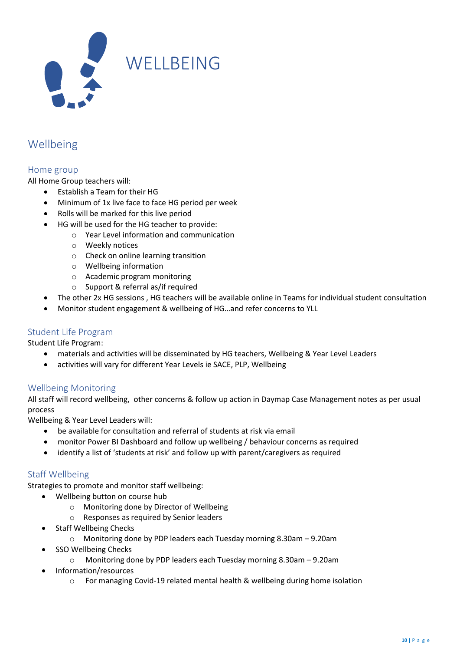<span id="page-9-0"></span>

## <span id="page-9-1"></span>Wellbeing

#### <span id="page-9-2"></span>Home group

All Home Group teachers will:

- Establish a Team for their HG
- Minimum of 1x live face to face HG period per week
- Rolls will be marked for this live period
- HG will be used for the HG teacher to provide:
	- o Year Level information and communication
	- o Weekly notices
	- o Check on online learning transition
	- o Wellbeing information
	- o Academic program monitoring
	- o Support & referral as/if required
- The other 2x HG sessions , HG teachers will be available online in Teams for individual student consultation
- Monitor student engagement & wellbeing of HG…and refer concerns to YLL

#### <span id="page-9-3"></span>Student Life Program

Student Life Program:

- materials and activities will be disseminated by HG teachers, Wellbeing & Year Level Leaders
- activities will vary for different Year Levels ie SACE, PLP, Wellbeing

#### <span id="page-9-4"></span>Wellbeing Monitoring

All staff will record wellbeing, other concerns & follow up action in Daymap Case Management notes as per usual process

Wellbeing & Year Level Leaders will:

- be available for consultation and referral of students at risk via email
- monitor Power BI Dashboard and follow up wellbeing / behaviour concerns as required
- identify a list of 'students at risk' and follow up with parent/caregivers as required

#### Staff Wellbeing

Strategies to promote and monitor staff wellbeing:

- Wellbeing button on course hub
	- o Monitoring done by Director of Wellbeing
	- o Responses as required by Senior leaders
- **Staff Wellbeing Checks** 
	- o Monitoring done by PDP leaders each Tuesday morning 8.30am 9.20am
- SSO Wellbeing Checks
	- o Monitoring done by PDP leaders each Tuesday morning 8.30am 9.20am
- Information/resources
	- $\circ$  For managing Covid-19 related mental health & wellbeing during home isolation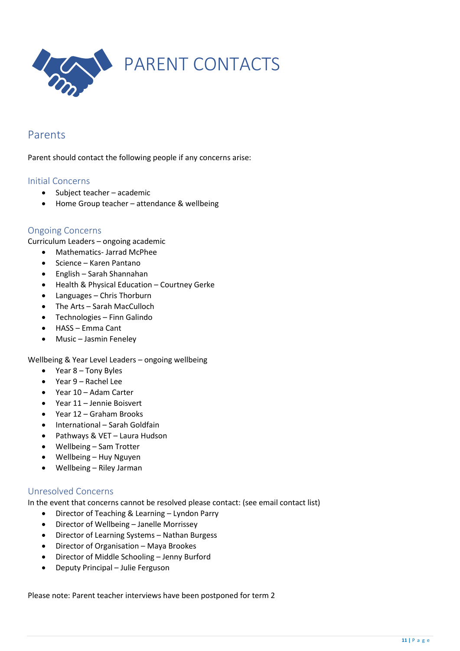<span id="page-10-0"></span>

### <span id="page-10-1"></span>Parents

Parent should contact the following people if any concerns arise:

#### <span id="page-10-2"></span>Initial Concerns

- Subject teacher academic
- Home Group teacher attendance & wellbeing

#### <span id="page-10-3"></span>Ongoing Concerns

Curriculum Leaders – ongoing academic

- Mathematics- Jarrad McPhee
- Science Karen Pantano
- English Sarah Shannahan
- Health & Physical Education Courtney Gerke
- Languages Chris Thorburn
- The Arts Sarah MacCulloch
- Technologies Finn Galindo
- HASS Emma Cant
- Music Jasmin Feneley

#### Wellbeing & Year Level Leaders – ongoing wellbeing

- Year 8 Tony Byles
- Year 9 Rachel Lee
- Year 10 Adam Carter
- Year 11 Jennie Boisvert
- Year 12 Graham Brooks
- International Sarah Goldfain
- Pathways & VET Laura Hudson
- Wellbeing Sam Trotter
- Wellbeing Huy Nguyen
- Wellbeing Riley Jarman

#### <span id="page-10-4"></span>Unresolved Concerns

In the event that concerns cannot be resolved please contact: (see email contact list)

- Director of Teaching & Learning Lyndon Parry
- Director of Wellbeing Janelle Morrissey
- Director of Learning Systems Nathan Burgess
- Director of Organisation Maya Brookes
- Director of Middle Schooling Jenny Burford
- Deputy Principal Julie Ferguson

Please note: Parent teacher interviews have been postponed for term 2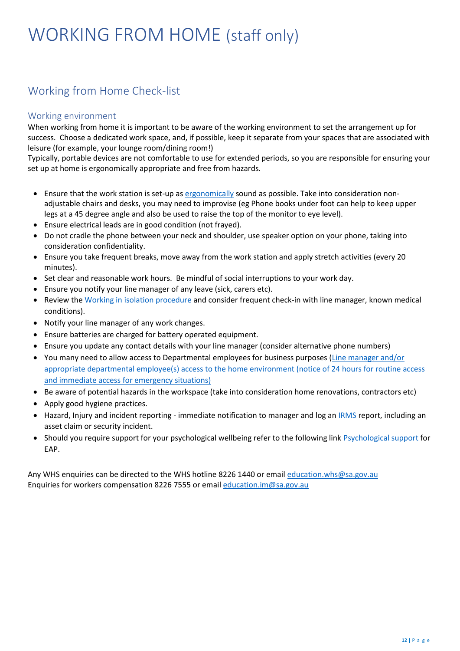# <span id="page-11-0"></span>WORKING FROM HOME (staff only)

## <span id="page-11-1"></span>Working from Home Check-list

#### <span id="page-11-2"></span>Working environment

When working from home it is important to be aware of the working environment to set the arrangement up for success. Choose a dedicated work space, and, if possible, keep it separate from your spaces that are associated with leisure (for example, your lounge room/dining room!)

Typically, portable devices are not comfortable to use for extended periods, so you are responsible for ensuring your set up at home is ergonomically appropriate and free from hazards.

- Ensure that the work station is set-up a[s ergonomically](https://edi.sa.edu.au/library/document-library/checklist/hr/health-and-safety/workstation-self-assessment-checklist.docx) sound as possible. Take into consideration nonadjustable chairs and desks, you may need to improvise (eg Phone books under foot can help to keep upper legs at a 45 degree angle and also be used to raise the top of the monitor to eye level).
- Ensure electrical leads are in good condition (not frayed).
- Do not cradle the phone between your neck and shoulder, use speaker option on your phone, taking into consideration confidentiality.
- Ensure you take frequent breaks, move away from the work station and apply stretch activities (every 20 minutes).
- Set clear and reasonable work hours. Be mindful of social interruptions to your work day.
- Ensure you notify your line manager of any leave (sick, carers etc).
- Review th[e Working in isolation procedure](https://edi.sa.edu.au/library/document-library/controlled-procedures/working-in-isolation-procedure.pdf) and consider frequent check-in with line manager, known medical conditions).
- Notify your line manager of any work changes.
- Ensure batteries are charged for battery operated equipment.
- Ensure you update any contact details with your line manager (consider alternative phone numbers)
- You many need to allow access to Departmental employees for business purposes (Line manager and/or appropriate departmental employee(s) access to the home environment (notice of 24 hours for routine access [and immediate access for emergency situations\)](https://edi.sa.edu.au/library/document-library/form/hr/working-in-education/employment-conditions/flexible-work-provisions/working-at-home-agreement.pdf)
- Be aware of potential hazards in the workspace (take into consideration home renovations, contractors etc)
- Apply good hygiene practices.
- Hazard, Injury and incident reporting immediate notification to manager and log an [IRMS](https://edi.sa.edu.au/hr/for-managers/health-and-safety/safety-processes/irms) report, including an asset claim or security incident.
- Should you require support for your psychological wellbeing refer to the following link [Psychological support](https://edi.sa.edu.au/hr/for-managers/health-and-safety/creating-a-safe-workplace/mental-health#title0) for EAP.

Any WHS enquiries can be directed to the WHS hotline 8226 1440 or email [education.whs@sa.gov.au](mailto:education.whs@sa.gov.au) Enquiries for workers compensation 8226 7555 or email [education.im@sa.gov.au](mailto:education.im@sa.gov.au)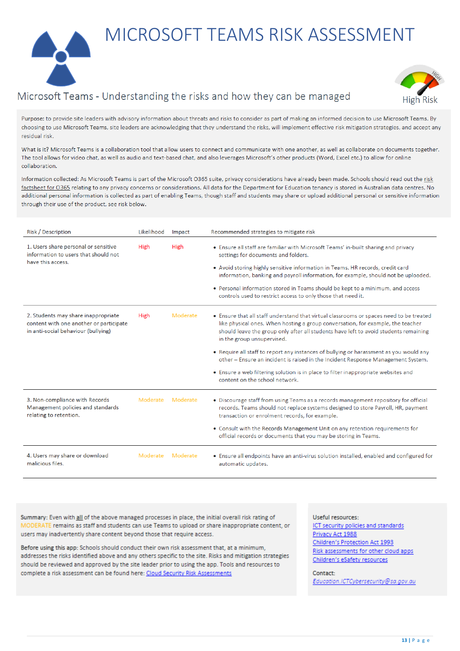<span id="page-12-0"></span>MICROSOFT TEAMS RISK ASSESSMENT

## Microsoft Teams - Understanding the risks and how they can be managed



Purpose: to provide site leaders with advisory information about threats and risks to consider as part of making an informed decision to use Microsoft Teams. By choosing to use Microsoft Teams, site leaders are acknowledging that they understand the risks, will implement effective risk mitigation strategies, and accept any residual risk

What is it? Microsoft Teams is a collaboration tool that allow users to connect and communicate with one another, as well as collaborate on documents together. The tool allows for video chat, as well as audio and text-based chat, and also leverages Microsoft's other products (Word, Excel etc.) to allow for online collaboration.

Information collected: As Microsoft Teams is part of the Microsoft O365 suite, privacy considerations have already been made. Schools should read out the risk factsheet for O365 relating to any privacy concerns or considerations. All data for the Department for Education tenancy is stored in Australian data centres. No additional personal information is collected as part of enabling Teams, though staff and students may share or upload additional personal or sensitive information through their use of the product, see risk below.

| Risk / Description                                                                                                    | Likelihood | Impact   | Recommended strategies to mitigate risk                                                                                                                                                                                                                                                                                                                                                                                                                                                                                                                                                                |
|-----------------------------------------------------------------------------------------------------------------------|------------|----------|--------------------------------------------------------------------------------------------------------------------------------------------------------------------------------------------------------------------------------------------------------------------------------------------------------------------------------------------------------------------------------------------------------------------------------------------------------------------------------------------------------------------------------------------------------------------------------------------------------|
| 1. Users share personal or sensitive<br>information to users that should not<br>have this access.                     | High       | High     | • Ensure all staff are familiar with Microsoft Teams' in-built sharing and privacy<br>settings for documents and folders.<br>• Avoid storing highly sensitive information in Teams. HR records, credit card<br>information, banking and payroll information, for example, should not be uploaded.<br>• Personal information stored in Teams should be kept to a minimum, and access<br>controls used to restrict access to only those that need it.                                                                                                                                                    |
| 2. Students may share inappropriate<br>content with one another or participate<br>in anti-social behaviour (bullying) | High       | Moderate | • Ensure that all staff understand that virtual classrooms or spaces need to be treated<br>like physical ones. When hosting a group conversation, for example, the teacher<br>should leave the group only after all students have left to avoid students remaining<br>in the group unsupervised.<br>• Require all staff to report any instances of bullying or harassment as you would any<br>other - Ensure an incident is raised in the Incident Response Management System.<br>• Ensure a web filtering solution is in place to filter inappropriate websites and<br>content on the school network. |
| 3. Non-compliance with Records<br>Management policies and standards<br>relating to retention.                         | Moderate   | Moderate | • Discourage staff from using Teams as a records management repository for official<br>records. Teams should not replace systems designed to store Payroll, HR, payment<br>transaction or enrolment records, for example.<br>• Consult with the Records Management Unit on any retention requirements for<br>official records or documents that you may be storing in Teams.                                                                                                                                                                                                                           |
| 4. Users may share or download<br>malicious files.                                                                    | Moderate   | Moderate | • Ensure all endpoints have an anti-virus solution installed, enabled and configured for<br>automatic updates.                                                                                                                                                                                                                                                                                                                                                                                                                                                                                         |

Summary: Even with all of the above managed processes in place, the initial overall risk rating of MODERATE remains as staff and students can use Teams to upload or share inappropriate content, or users may inadvertently share content beyond those that require access.

Before using this app: Schools should conduct their own risk assessment that, at a minimum. addresses the risks identified above and any others specific to the site. Risks and mitigation strategies should be reviewed and approved by the site leader prior to using the app. Tools and resources to complete a risk assessment can be found here: Cloud Security Risk Assessments

Useful resources-ICT security policies and standards Privacy Act 1988 Children's Protection Act 1993 Risk assessments for other cloud apps Children's eSafety resources

Contact: Education.ICTCybersecurity@sa.gov.au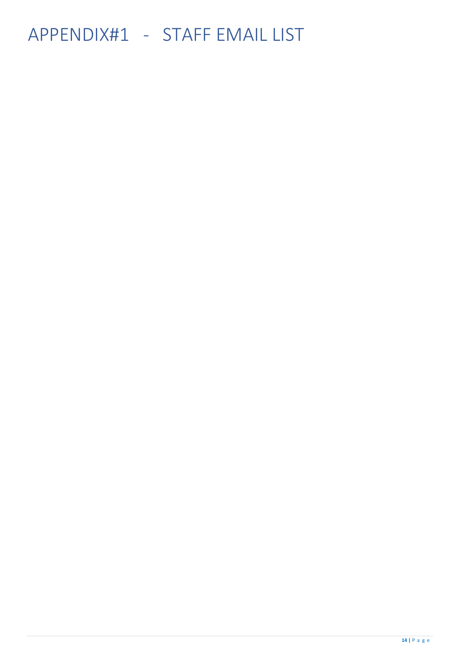# <span id="page-13-0"></span>APPENDIX#1 - STAFF EMAIL LIST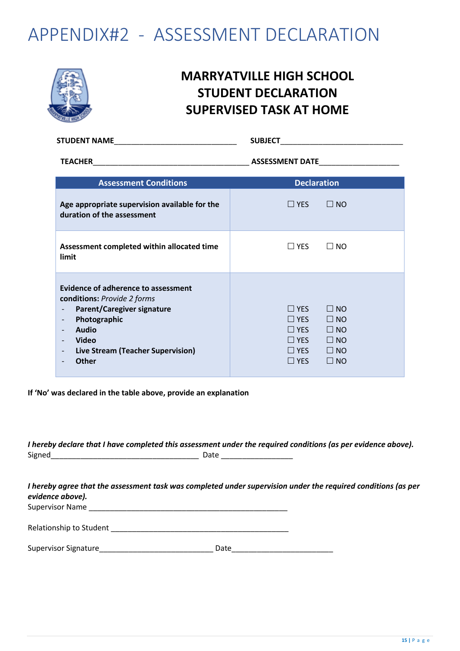## <span id="page-14-0"></span>APPENDIX#2 - ASSESSMENT DECLARATION



## **MARRYATVILLE HIGH SCHOOL STUDENT DECLARATION SUPERVISED TASK AT HOME**

|                                                                                                                                                                                                                                                 | <b>SUBJECT</b>                                                                                                                                                    |  |  |  |
|-------------------------------------------------------------------------------------------------------------------------------------------------------------------------------------------------------------------------------------------------|-------------------------------------------------------------------------------------------------------------------------------------------------------------------|--|--|--|
|                                                                                                                                                                                                                                                 | ASSESSMENT DATE                                                                                                                                                   |  |  |  |
| <b>Assessment Conditions</b>                                                                                                                                                                                                                    | <b>Declaration</b>                                                                                                                                                |  |  |  |
| Age appropriate supervision available for the<br>duration of the assessment                                                                                                                                                                     | $\Box$ NO<br>$\Box$ YES                                                                                                                                           |  |  |  |
| Assessment completed within allocated time<br>limit                                                                                                                                                                                             | $\Box$ YES<br>$\square$ NO                                                                                                                                        |  |  |  |
| <b>Evidence of adherence to assessment</b><br>conditions: Provide 2 forms<br><b>Parent/Caregiver signature</b><br>Photographic<br><b>Audio</b><br><b>Video</b><br>Live Stream (Teacher Supervision)<br>$\overline{\phantom{a}}$<br><b>Other</b> | $\Box$ YES<br>$\Box$ NO<br>$\Box$ YES<br>$\Box$ NO<br>$\Box$ YES<br>$\Box$ NO<br>$\Box$ NO<br>$\Box$ YES<br>$\Box$ NO<br>$\Box$ YES<br>$\Box$ YES<br>$\square$ NO |  |  |  |

**If 'No' was declared in the table above, provide an explanation**

*I hereby declare that I have completed this assessment under the required conditions (as per evidence above).*  Signed\_\_\_\_\_\_\_\_\_\_\_\_\_\_\_\_\_\_\_\_\_\_\_\_\_\_\_\_\_\_\_\_\_\_\_ Date \_\_\_\_\_\_\_\_\_\_\_\_\_\_\_\_\_

*I hereby agree that the assessment task was completed under supervision under the required conditions (as per evidence above).*  Supervisor Name

Relationship to Student \_\_\_\_\_\_\_\_\_\_\_\_\_\_\_\_\_\_\_\_\_\_\_\_\_\_\_\_\_\_\_\_\_\_\_\_\_\_\_\_\_\_

| <b>Supervisor Signature</b> |  |
|-----------------------------|--|
|-----------------------------|--|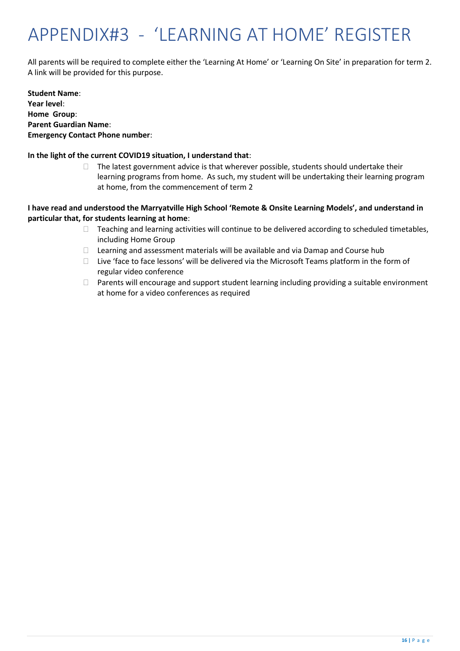# <span id="page-15-0"></span>APPENDIX#3 - 'LEARNING AT HOME' REGISTER

All parents will be required to complete either the 'Learning At Home' or 'Learning On Site' in preparation for term 2. A link will be provided for this purpose.

**Student Name**: **Year level**: **Home Group**: **Parent Guardian Name**: **Emergency Contact Phone number**:

#### **In the light of the current COVID19 situation, I understand that**:

 $\Box$  The latest government advice is that wherever possible, students should undertake their learning programs from home. As such, my student will be undertaking their learning program at home, from the commencement of term 2

#### **I have read and understood the Marryatville High School 'Remote & Onsite Learning Models', and understand in particular that, for students learning at home**:

- $\Box$  Teaching and learning activities will continue to be delivered according to scheduled timetables, including Home Group
- $\Box$  Learning and assessment materials will be available and via Damap and Course hub
- □ Live 'face to face lessons' will be delivered via the Microsoft Teams platform in the form of regular video conference
- $\Box$  Parents will encourage and support student learning including providing a suitable environment at home for a video conferences as required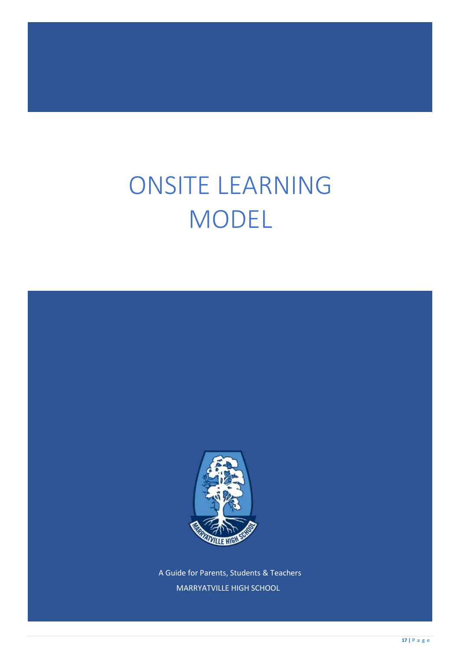# ONSITE LEARNING MODEL



A Guide for Parents, Students & Teachers MARRYATVILLE HIGH SCHOOL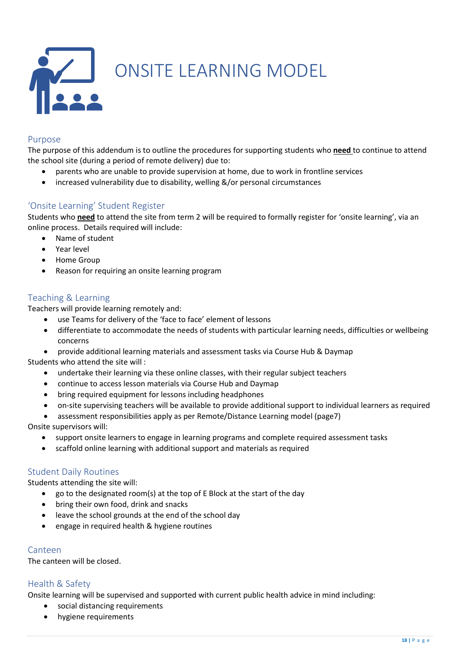<span id="page-17-0"></span>

#### <span id="page-17-1"></span>Purpose

The purpose of this addendum is to outline the procedures for supporting students who **need** to continue to attend the school site (during a period of remote delivery) due to:

- parents who are unable to provide supervision at home, due to work in frontline services
- increased vulnerability due to disability, welling &/or personal circumstances

#### <span id="page-17-2"></span>'Onsite Learning' Student Register

Students who **need** to attend the site from term 2 will be required to formally register for 'onsite learning', via an online process. Details required will include:

- Name of student
- Year level
- Home Group
- Reason for requiring an onsite learning program

#### <span id="page-17-3"></span>Teaching & Learning

Teachers will provide learning remotely and:

- use Teams for delivery of the 'face to face' element of lessons
- differentiate to accommodate the needs of students with particular learning needs, difficulties or wellbeing concerns
- provide additional learning materials and assessment tasks via Course Hub & Daymap

Students who attend the site will :

- undertake their learning via these online classes, with their regular subject teachers
- continue to access lesson materials via Course Hub and Daymap
- bring required equipment for lessons including headphones
- on-site supervising teachers will be available to provide additional support to individual learners as required
- assessment responsibilities apply as per Remote/Distance Learning model (page7)

Onsite supervisors will:

- support onsite learners to engage in learning programs and complete required assessment tasks
- scaffold online learning with additional support and materials as required

#### <span id="page-17-4"></span>Student Daily Routines

Students attending the site will:

- go to the designated room(s) at the top of E Block at the start of the day
- bring their own food, drink and snacks
- leave the school grounds at the end of the school day
- engage in required health & hygiene routines

#### Canteen

The canteen will be closed.

#### <span id="page-17-5"></span>Health & Safety

Onsite learning will be supervised and supported with current public health advice in mind including:

- social distancing requirements
- hygiene requirements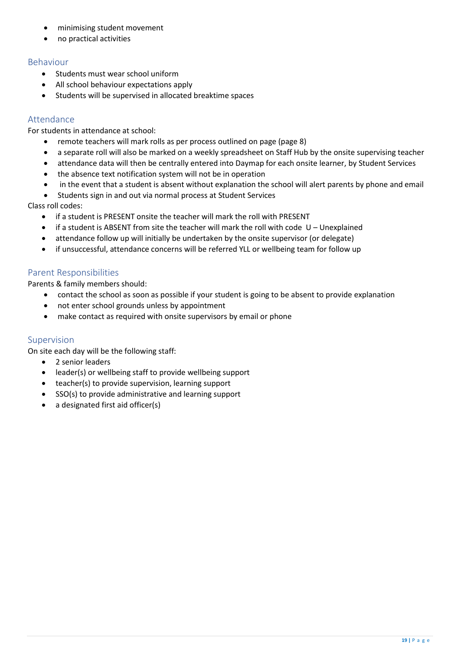- minimising student movement
- no practical activities

#### Behaviour

- Students must wear school uniform
- All school behaviour expectations apply
- Students will be supervised in allocated breaktime spaces

#### Attendance

For students in attendance at school:

- remote teachers will mark rolls as per process outlined on page (page 8)
- a separate roll will also be marked on a weekly spreadsheet on Staff Hub by the onsite supervising teacher
- attendance data will then be centrally entered into Daymap for each onsite learner, by Student Services
- the absence text notification system will not be in operation
- in the event that a student is absent without explanation the school will alert parents by phone and email
- Students sign in and out via normal process at Student Services

Class roll codes:

- if a student is PRESENT onsite the teacher will mark the roll with PRESENT
- if a student is ABSENT from site the teacher will mark the roll with code U Unexplained
- attendance follow up will initially be undertaken by the onsite supervisor (or delegate)
- if unsuccessful, attendance concerns will be referred YLL or wellbeing team for follow up

#### <span id="page-18-0"></span>Parent Responsibilities

Parents & family members should:

- contact the school as soon as possible if your student is going to be absent to provide explanation
- not enter school grounds unless by appointment
- make contact as required with onsite supervisors by email or phone

#### <span id="page-18-1"></span>Supervision

On site each day will be the following staff:

- 2 senior leaders
- leader(s) or wellbeing staff to provide wellbeing support
- teacher(s) to provide supervision, learning support
- SSO(s) to provide administrative and learning support
- a designated first aid officer(s)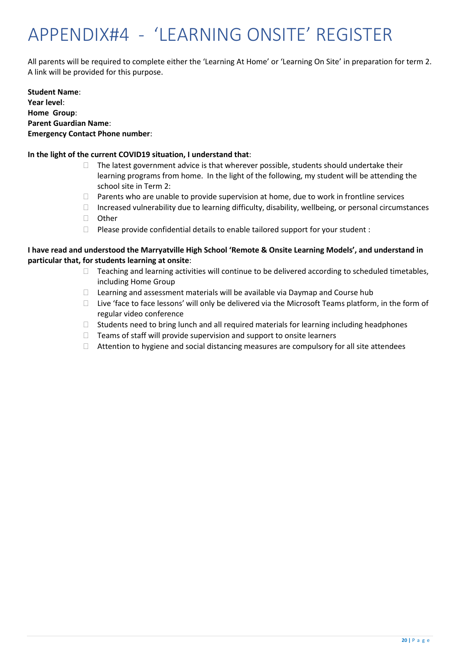# <span id="page-19-0"></span>APPENDIX#4 - 'LEARNING ONSITE' REGISTER

All parents will be required to complete either the 'Learning At Home' or 'Learning On Site' in preparation for term 2. A link will be provided for this purpose.

**Student Name**: **Year level**: **Home Group**: **Parent Guardian Name**: **Emergency Contact Phone number**:

#### **In the light of the current COVID19 situation, I understand that**:

- $\Box$  The latest government advice is that wherever possible, students should undertake their learning programs from home. In the light of the following, my student will be attending the school site in Term 2:
- $\Box$  Parents who are unable to provide supervision at home, due to work in frontline services
- $\Box$  Increased vulnerability due to learning difficulty, disability, wellbeing, or personal circumstances
- □ Other
- $\Box$  Please provide confidential details to enable tailored support for your student :

#### **I have read and understood the Marryatville High School 'Remote & Onsite Learning Models', and understand in particular that, for students learning at onsite**:

- $\Box$  Teaching and learning activities will continue to be delivered according to scheduled timetables, including Home Group
- $\Box$  Learning and assessment materials will be available via Daymap and Course hub
- $\Box$  Live 'face to face lessons' will only be delivered via the Microsoft Teams platform, in the form of regular video conference
- $\Box$  Students need to bring lunch and all required materials for learning including headphones
- $\Box$  Teams of staff will provide supervision and support to onsite learners
- $\Box$  Attention to hygiene and social distancing measures are compulsory for all site attendees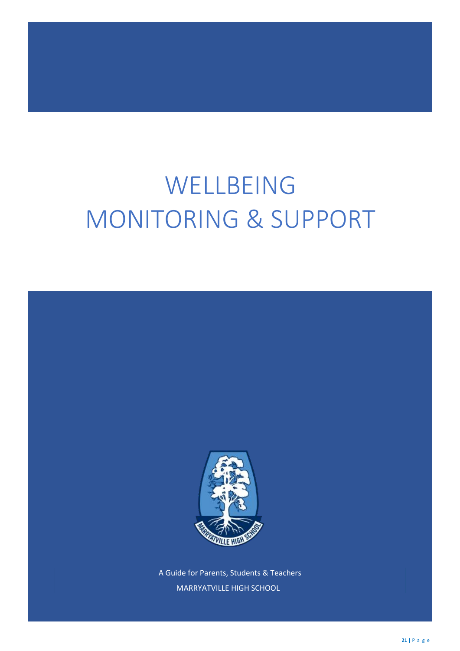# WELLBEING MONITORING & SUPPORT



A Guide for Parents, Students & Teachers MARRYATVILLE HIGH SCHOOL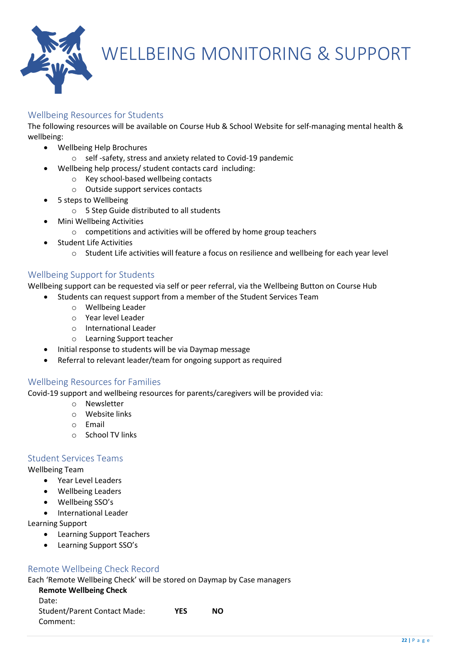

## <span id="page-21-0"></span>WELLBEING MONITORING & SUPPORT

#### <span id="page-21-1"></span>Wellbeing Resources for Students

The following resources will be available on Course Hub & School Website for self-managing mental health & wellbeing:

- Wellbeing Help Brochures
	- o self -safety, stress and anxiety related to Covid-19 pandemic
- Wellbeing help process/ student contacts card including:
	- o Key school-based wellbeing contacts
	- o Outside support services contacts
- 5 steps to Wellbeing
	- o 5 Step Guide distributed to all students
- Mini Wellbeing Activities
	- o competitions and activities will be offered by home group teachers
- Student Life Activities
	- o Student Life activities will feature a focus on resilience and wellbeing for each year level

#### Wellbeing Support for Students

Wellbeing support can be requested via self or peer referral, via the Wellbeing Button on Course Hub

- Students can request support from a member of the Student Services Team
	- o Wellbeing Leader
	- o Year level Leader
	- o International Leader
	- o Learning Support teacher
	- Initial response to students will be via Daymap message
- Referral to relevant leader/team for ongoing support as required

#### Wellbeing Resources for Families

Covid-19 support and wellbeing resources for parents/caregivers will be provided via:

- o Newsletter
	- o Website links
	- o Email
	- o School TV links

#### Student Services Teams

Wellbeing Team

- Year Level Leaders
- Wellbeing Leaders
- Wellbeing SSO's
- International Leader

Learning Support

- Learning Support Teachers
- Learning Support SSO's

#### Remote Wellbeing Check Record

Each 'Remote Wellbeing Check' will be stored on Daymap by Case managers

**Remote Wellbeing Check**  Date: Student/Parent Contact Made: **YES NO**  Comment: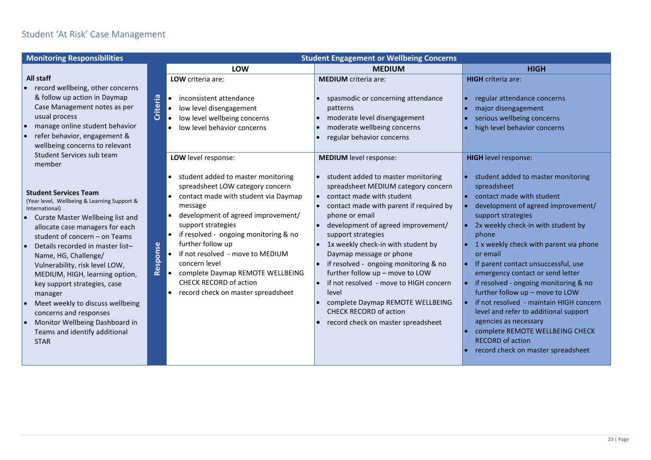### Student 'At Risk' Case Management

| <b>Monitoring Responsibilities</b>                                                                                                                                                                                                                                                                                                                                                                                                                                                                                               | <b>Student Engagement or Wellbeing Concerns</b>                                                                                                                                                                                                                                                                                                                                                                                 |                                                                                                                                                                                                                                                                                                                                                                                                                                                                                                                                                         |                                                                                                                                                                                                                                                                                                                                                                                                                                                                                                                                                                                                                         |  |  |  |  |  |  |
|----------------------------------------------------------------------------------------------------------------------------------------------------------------------------------------------------------------------------------------------------------------------------------------------------------------------------------------------------------------------------------------------------------------------------------------------------------------------------------------------------------------------------------|---------------------------------------------------------------------------------------------------------------------------------------------------------------------------------------------------------------------------------------------------------------------------------------------------------------------------------------------------------------------------------------------------------------------------------|---------------------------------------------------------------------------------------------------------------------------------------------------------------------------------------------------------------------------------------------------------------------------------------------------------------------------------------------------------------------------------------------------------------------------------------------------------------------------------------------------------------------------------------------------------|-------------------------------------------------------------------------------------------------------------------------------------------------------------------------------------------------------------------------------------------------------------------------------------------------------------------------------------------------------------------------------------------------------------------------------------------------------------------------------------------------------------------------------------------------------------------------------------------------------------------------|--|--|--|--|--|--|
|                                                                                                                                                                                                                                                                                                                                                                                                                                                                                                                                  | LOW                                                                                                                                                                                                                                                                                                                                                                                                                             | <b>MEDIUM</b>                                                                                                                                                                                                                                                                                                                                                                                                                                                                                                                                           | <b>HIGH</b>                                                                                                                                                                                                                                                                                                                                                                                                                                                                                                                                                                                                             |  |  |  |  |  |  |
| All staff<br>record wellbeing, other concerns<br>& follow up action in Daymap<br>Case Management notes as per<br>usual process<br>manage online student behavior<br>refer behavior, engagement &<br>wellbeing concerns to relevant                                                                                                                                                                                                                                                                                               | LOW criteria are:<br>Criteria<br>inconsistent attendance<br>low level disengagement<br>low level wellbeing concerns<br>low level behavior concerns                                                                                                                                                                                                                                                                              | <b>MEDIUM</b> criteria are:<br>spasmodic or concerning attendance<br>patterns<br>moderate level disengagement<br>moderate wellbeing concerns<br>regular behavior concerns                                                                                                                                                                                                                                                                                                                                                                               | <b>HIGH</b> criteria are:<br>regular attendance concerns<br>major disengagement<br>serious wellbeing concerns<br>high level behavior concerns                                                                                                                                                                                                                                                                                                                                                                                                                                                                           |  |  |  |  |  |  |
| Student Services sub team<br>member                                                                                                                                                                                                                                                                                                                                                                                                                                                                                              | LOW level response:                                                                                                                                                                                                                                                                                                                                                                                                             | <b>MEDIUM</b> level response:                                                                                                                                                                                                                                                                                                                                                                                                                                                                                                                           | <b>HIGH</b> level response:                                                                                                                                                                                                                                                                                                                                                                                                                                                                                                                                                                                             |  |  |  |  |  |  |
| <b>Student Services Team</b><br>(Year level, Wellbeing & Learning Support &<br>International)<br>Curate Master Wellbeing list and<br>allocate case managers for each<br>student of concern - on Teams<br>Details recorded in master list-<br>Name, HG, Challenge/<br>Vulnerability, risk level LOW,<br>MEDIUM, HIGH, learning option,<br>key support strategies, case<br>manager<br>Meet weekly to discuss wellbeing<br>concerns and responses<br>Monitor Wellbeing Dashboard in<br>Teams and identify additional<br><b>STAR</b> | student added to master monitoring<br>spreadsheet LOW category concern<br>contact made with student via Daymap<br>message<br>development of agreed improvement/<br>support strategies<br>if resolved - ongoing monitoring & no<br>further follow up<br>Response<br>if not resolved - move to MEDIUM<br>concern level<br>complete Daymap REMOTE WELLBEING<br><b>CHECK RECORD of action</b><br>record check on master spreadsheet | student added to master monitoring<br>spreadsheet MEDIUM category concern<br>contact made with student<br>$\bullet$<br>contact made with parent if required by<br>phone or email<br>development of agreed improvement/<br>support strategies<br>1x weekly check-in with student by<br>Daymap message or phone<br>if resolved - ongoing monitoring & no<br>further follow up - move to LOW<br>if not resolved - move to HIGH concern<br>level<br>complete Daymap REMOTE WELLBEING<br><b>CHECK RECORD of action</b><br>record check on master spreadsheet | student added to master monitoring<br>spreadsheet<br>contact made with student<br>development of agreed improvement/<br>support strategies<br>2x weekly check-in with student by<br>phone<br>1 x weekly check with parent via phone<br>or email<br>If parent contact unsuccessful, use<br>emergency contact or send letter<br>if resolved - ongoing monitoring & no<br>further follow up - move to LOW<br>if not resolved - maintain HIGH concern<br>level and refer to additional support<br>agencies as necessary<br>complete REMOTE WELLBEING CHECK<br><b>RECORD of action</b><br>record check on master spreadsheet |  |  |  |  |  |  |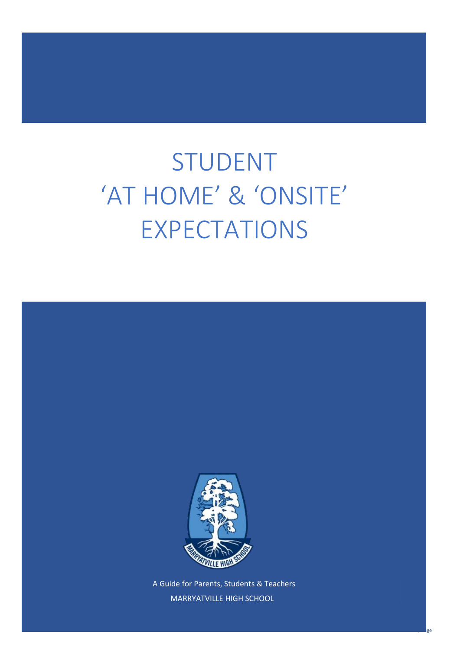# STUDENT 'AT HOME' & 'ONSITE' EXPECTATIONS



A Guide for Parents, Students & Teachers MARRYATVILLE HIGH SCHOOL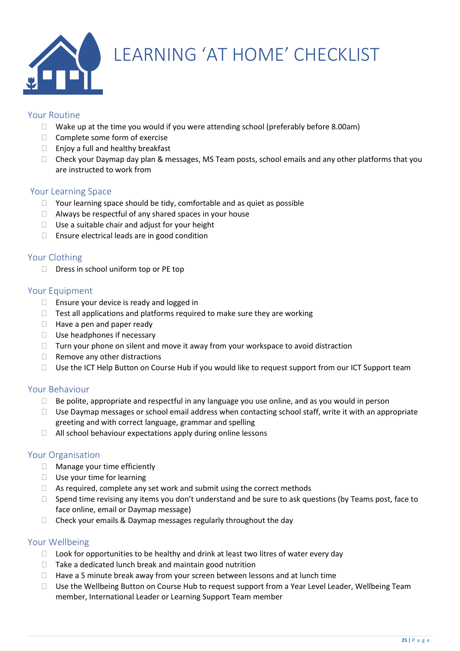

## <span id="page-24-0"></span>LEARNING 'AT HOME' CHECKLIST

#### Your Routine

- $\Box$  Wake up at the time you would if you were attending school (preferably before 8.00am)
- $\Box$  Complete some form of exercise
- $\Box$  Enjoy a full and healthy breakfast
- $\Box$  Check your Daymap day plan & messages, MS Team posts, school emails and any other platforms that you are instructed to work from

#### Your Learning Space

- $\Box$  Your learning space should be tidy, comfortable and as quiet as possible
- $\Box$  Always be respectful of any shared spaces in your house
- $\Box$  Use a suitable chair and adjust for your height
- $\Box$  Ensure electrical leads are in good condition

#### Your Clothing

 $\Box$  Dress in school uniform top or PE top

#### Your Equipment

- $\Box$  Ensure your device is ready and logged in
- $\Box$  Test all applications and platforms required to make sure they are working
- $\Box$  Have a pen and paper ready
- $\square$  Use headphones if necessary
- $\Box$  Turn your phone on silent and move it away from your workspace to avoid distraction
- $\Box$  Remove any other distractions
- □ Use the ICT Help Button on Course Hub if you would like to request support from our ICT Support team

#### Your Behaviour

- $\Box$  Be polite, appropriate and respectful in any language you use online, and as you would in person
- $\Box$  Use Daymap messages or school email address when contacting school staff, write it with an appropriate greeting and with correct language, grammar and spelling
- $\Box$  All school behaviour expectations apply during online lessons

#### Your Organisation

- □ Manage your time efficiently
- $\Box$  Use your time for learning
- $\Box$  As required, complete any set work and submit using the correct methods
- $\Box$  Spend time revising any items you don't understand and be sure to ask questions (by Teams post, face to face online, email or Daymap message)
- $\Box$  Check your emails & Daymap messages regularly throughout the day

#### Your Wellbeing

- $\Box$  Look for opportunities to be healthy and drink at least two litres of water every day
- $\Box$  Take a dedicated lunch break and maintain good nutrition
- $\Box$  Have a 5 minute break away from your screen between lessons and at lunch time
- $\Box$  Use the Wellbeing Button on Course Hub to request support from a Year Level Leader, Wellbeing Team member, International Leader or Learning Support Team member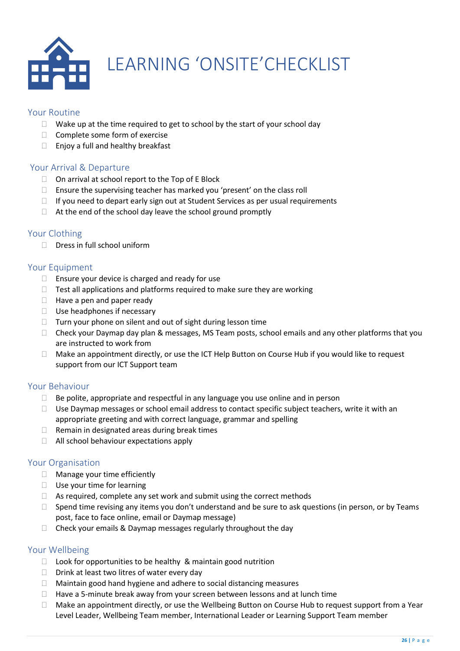

# <span id="page-25-0"></span>LEARNING 'ONSITE'CHECKLIST

#### Your Routine

- $\Box$  Wake up at the time required to get to school by the start of your school day
- $\Box$  Complete some form of exercise
- $\Box$  Enjoy a full and healthy breakfast

#### Your Arrival & Departure

- $\Box$  On arrival at school report to the Top of E Block
- □ Ensure the supervising teacher has marked you 'present' on the class roll
- $\Box$  If you need to depart early sign out at Student Services as per usual requirements
- $\Box$  At the end of the school day leave the school ground promptly

#### Your Clothing

 $\Box$  Dress in full school uniform

#### Your Equipment

- $\Box$  Ensure your device is charged and ready for use
- $\Box$  Test all applications and platforms required to make sure they are working
- $\Box$  Have a pen and paper ready
- $\square$  Use headphones if necessary
- □ Turn your phone on silent and out of sight during lesson time
- $\Box$  Check your Daymap day plan & messages, MS Team posts, school emails and any other platforms that you are instructed to work from
- □ Make an appointment directly, or use the ICT Help Button on Course Hub if you would like to request support from our ICT Support team

#### Your Behaviour

- $\Box$  Be polite, appropriate and respectful in any language you use online and in person
- $\Box$  Use Daymap messages or school email address to contact specific subject teachers, write it with an appropriate greeting and with correct language, grammar and spelling
- $\Box$  Remain in designated areas during break times
- □ All school behaviour expectations apply

#### Your Organisation

- □ Manage your time efficiently
- $\Box$  Use your time for learning
- $\Box$  As required, complete any set work and submit using the correct methods
- $\Box$  Spend time revising any items you don't understand and be sure to ask questions (in person, or by Teams post, face to face online, email or Daymap message)
- $\Box$  Check your emails & Daymap messages regularly throughout the day

#### Your Wellbeing

- $\Box$  Look for opportunities to be healthy & maintain good nutrition
- $\Box$  Drink at least two litres of water every day
- $\Box$  Maintain good hand hygiene and adhere to social distancing measures
- $\Box$  Have a 5-minute break away from your screen between lessons and at lunch time
- $\Box$  Make an appointment directly, or use the Wellbeing Button on Course Hub to request support from a Year Level Leader, Wellbeing Team member, International Leader or Learning Support Team member